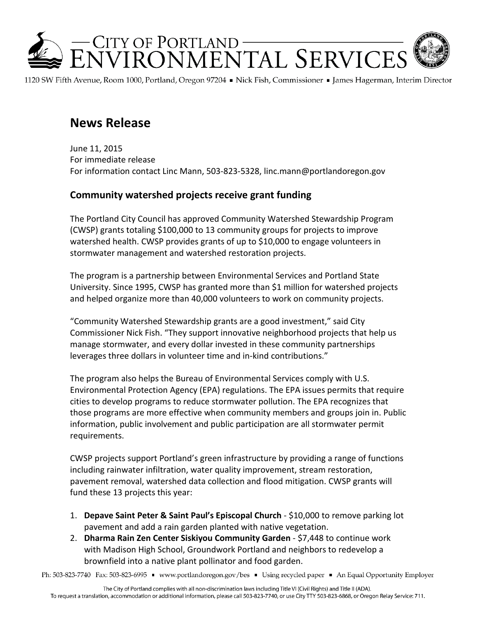

1120 SW Fifth Avenue, Room 1000, Portland, Oregon 97204 • Nick Fish, Commissioner • James Hagerman, Interim Director

## **News Release**

June 11, 2015 For immediate release For information contact Linc Mann, 503-823-5328, linc.mann@portlandoregon.gov

## **Community watershed projects receive grant funding**

The Portland City Council has approved Community Watershed Stewardship Program (CWSP) grants totaling \$100,000 to 13 community groups for projects to improve watershed health. CWSP provides grants of up to \$10,000 to engage volunteers in stormwater management and watershed restoration projects.

The program is a partnership between Environmental Services and Portland State University. Since 1995, CWSP has granted more than \$1 million for watershed projects and helped organize more than 40,000 volunteers to work on community projects.

"Community Watershed Stewardship grants are a good investment," said City Commissioner Nick Fish. "They support innovative neighborhood projects that help us manage stormwater, and every dollar invested in these community partnerships leverages three dollars in volunteer time and in-kind contributions."

The program also helps the Bureau of Environmental Services comply with U.S. Environmental Protection Agency (EPA) regulations. The EPA issues permits that require cities to develop programs to reduce stormwater pollution. The EPA recognizes that those programs are more effective when community members and groups join in. Public information, public involvement and public participation are all stormwater permit requirements.

CWSP projects support Portland's green infrastructure by providing a range of functions including rainwater infiltration, water quality improvement, stream restoration, pavement removal, watershed data collection and flood mitigation. CWSP grants will fund these 13 projects this year:

- 1. **Depave Saint Peter & Saint Paul's Episcopal Church**  \$10,000 to remove parking lot pavement and add a rain garden planted with native vegetation.
- 2. **Dharma Rain Zen Center Siskiyou Community Garden**  \$7,448 to continue work with Madison High School, Groundwork Portland and neighbors to redevelop a brownfield into a native plant pollinator and food garden.

Ph: 503-823-7740 Fax: 503-823-6995 · www.portlandoregon.gov/bes · Using recycled paper · An Equal Opportunity Employer